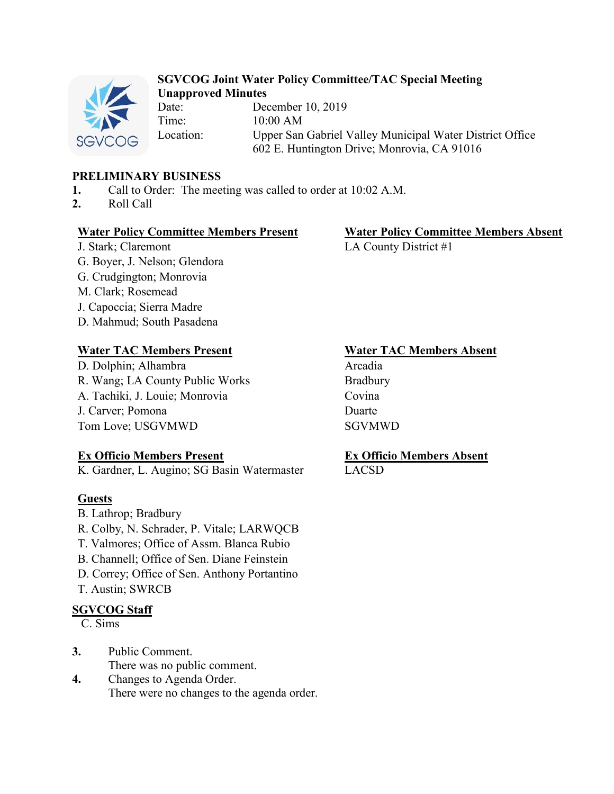

# **SGVCOG Joint Water Policy Committee/TAC Special Meeting Unapproved Minutes**

Date: December 10, 2019 Time: 10:00 AM Location: Upper San Gabriel Valley Municipal Water District Office 602 E. Huntington Drive; Monrovia, CA 91016

## **PRELIMINARY BUSINESS**

- **1.** Call to Order: The meeting was called to order at 10:02 A.M.
- **2.** Roll Call

## **Water Policy Committee Members Present Water Policy Committee Members Absent**

J. Stark; Claremont LA County District #1 G. Boyer, J. Nelson; Glendora G. Crudgington; Monrovia M. Clark; Rosemead J. Capoccia; Sierra Madre D. Mahmud; South Pasadena

# **Water TAC Members Present Water TAC Members Absent**

D. Dolphin; Alhambra Arcadia R. Wang; LA County Public Works Bradbury A. Tachiki, J. Louie; Monrovia Covina J. Carver; Pomona Duarte Tom Love; USGVMWD SGVMWD

# **Ex Officio Members Present**

K. Gardner, L. Augino; SG Basin Watermaster

# **Guests**

- B. Lathrop; Bradbury
- R. Colby, N. Schrader, P. Vitale; LARWQCB
- T. Valmores; Office of Assm. Blanca Rubio
- B. Channell; Office of Sen. Diane Feinstein
- D. Correy; Office of Sen. Anthony Portantino
- T. Austin; SWRCB

# **SGVCOG Staff**

## C. Sims

- **3.** Public Comment. There was no public comment.
- **4.** Changes to Agenda Order. There were no changes to the agenda order.

# **Ex Officio Members Absent**

LACSD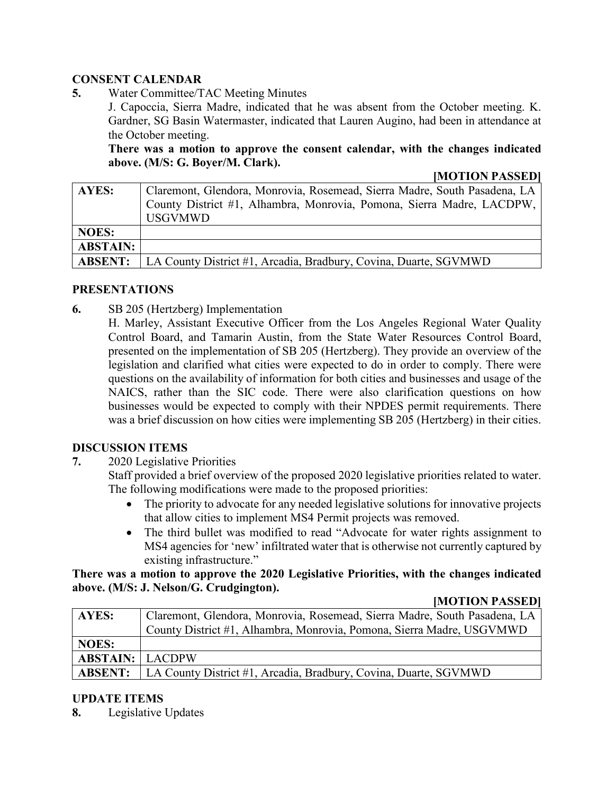## **CONSENT CALENDAR**

**5.** Water Committee/TAC Meeting Minutes

J. Capoccia, Sierra Madre, indicated that he was absent from the October meeting. K. Gardner, SG Basin Watermaster, indicated that Lauren Augino, had been in attendance at the October meeting.

**There was a motion to approve the consent calendar, with the changes indicated above. (M/S: G. Boyer/M. Clark).**

#### **[MOTION PASSED]**

| AYES:           | Claremont, Glendora, Monrovia, Rosemead, Sierra Madre, South Pasadena, LA |
|-----------------|---------------------------------------------------------------------------|
|                 | County District #1, Alhambra, Monrovia, Pomona, Sierra Madre, LACDPW,     |
|                 | <b>USGVMWD</b>                                                            |
| <b>NOES:</b>    |                                                                           |
| <b>ABSTAIN:</b> |                                                                           |
| <b>ABSENT:</b>  | LA County District #1, Arcadia, Bradbury, Covina, Duarte, SGVMWD          |

### **PRESENTATIONS**

**6.** SB 205 (Hertzberg) Implementation

H. Marley, Assistant Executive Officer from the Los Angeles Regional Water Quality Control Board, and Tamarin Austin, from the State Water Resources Control Board, presented on the implementation of SB 205 (Hertzberg). They provide an overview of the legislation and clarified what cities were expected to do in order to comply. There were questions on the availability of information for both cities and businesses and usage of the NAICS, rather than the SIC code. There were also clarification questions on how businesses would be expected to comply with their NPDES permit requirements. There was a brief discussion on how cities were implementing SB 205 (Hertzberg) in their cities.

#### **DISCUSSION ITEMS**

**7.** 2020 Legislative Priorities

Staff provided a brief overview of the proposed 2020 legislative priorities related to water. The following modifications were made to the proposed priorities:

- The priority to advocate for any needed legislative solutions for innovative projects that allow cities to implement MS4 Permit projects was removed.
- The third bullet was modified to read "Advocate for water rights assignment to MS4 agencies for 'new' infiltrated water that is otherwise not currently captured by existing infrastructure."

### **There was a motion to approve the 2020 Legislative Priorities, with the changes indicated above. (M/S: J. Nelson/G. Crudgington).**

#### **[MOTION PASSED]**

| AYES:                  | Claremont, Glendora, Monrovia, Rosemead, Sierra Madre, South Pasadena, LA |
|------------------------|---------------------------------------------------------------------------|
|                        | County District #1, Alhambra, Monrovia, Pomona, Sierra Madre, USGVMWD     |
| <b>NOES:</b>           |                                                                           |
| <b>ABSTAIN: LACDPW</b> |                                                                           |
| <b>ABSENT:</b>         | LA County District #1, Arcadia, Bradbury, Covina, Duarte, SGVMWD          |

## **UPDATE ITEMS**

**8.** Legislative Updates